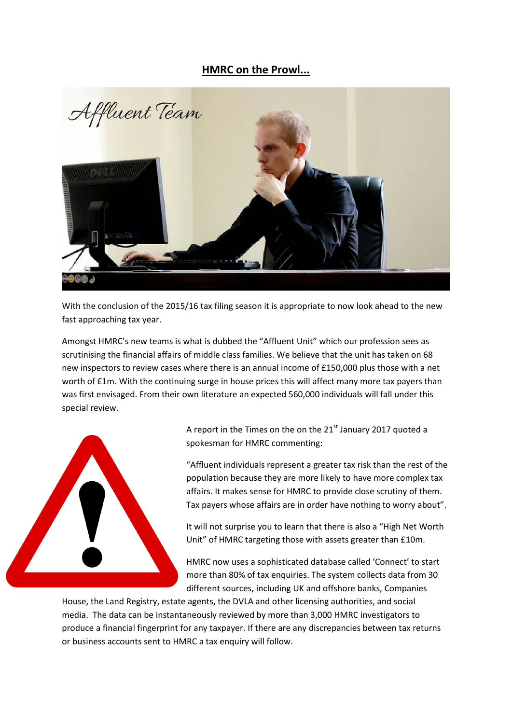## **HMRC on the Prowl...**



With the conclusion of the 2015/16 tax filing season it is appropriate to now look ahead to the new fast approaching tax year.

Amongst HMRC's new teams is what is dubbed the "Affluent Unit" which our profession sees as scrutinising the financial affairs of middle class families. We believe that the unit has taken on 68 new inspectors to review cases where there is an annual income of £150,000 plus those with a net worth of £1m. With the continuing surge in house prices this will affect many more tax payers than was first envisaged. From their own literature an expected 560,000 individuals will fall under this special review.



A report in the Times on the on the  $21<sup>st</sup>$  January 2017 quoted a spokesman for HMRC commenting:

"Affluent individuals represent a greater tax risk than the rest of the population because they are more likely to have more complex tax affairs. It makes sense for HMRC to provide close scrutiny of them. Tax payers whose affairs are in order have nothing to worry about".

It will not surprise you to learn that there is also a "High Net Worth Unit" of HMRC targeting those with assets greater than £10m.

HMRC now uses a sophisticated database called 'Connect' to start more than 80% of tax enquiries. The system collects data from 30 different sources, including UK and offshore banks, Companies

House, the Land Registry, estate agents, the DVLA and other licensing authorities, and social media. The data can be instantaneously reviewed by more than 3,000 HMRC investigators to produce a financial fingerprint for any taxpayer. If there are any discrepancies between tax returns or business accounts sent to HMRC a tax enquiry will follow.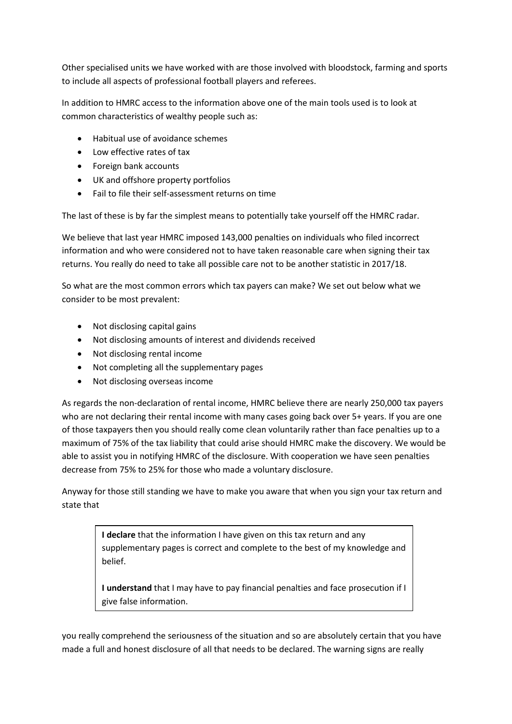Other specialised units we have worked with are those involved with bloodstock, farming and sports to include all aspects of professional football players and referees.

In addition to HMRC access to the information above one of the main tools used is to look at common characteristics of wealthy people such as:

- Habitual use of avoidance schemes
- Low effective rates of tax
- Foreign bank accounts
- UK and offshore property portfolios
- Fail to file their self-assessment returns on time

The last of these is by far the simplest means to potentially take yourself off the HMRC radar.

We believe that last year HMRC imposed 143,000 penalties on individuals who filed incorrect information and who were considered not to have taken reasonable care when signing their tax returns. You really do need to take all possible care not to be another statistic in 2017/18.

So what are the most common errors which tax payers can make? We set out below what we consider to be most prevalent:

- Not disclosing capital gains
- Not disclosing amounts of interest and dividends received
- Not disclosing rental income
- Not completing all the supplementary pages
- Not disclosing overseas income

As regards the non-declaration of rental income, HMRC believe there are nearly 250,000 tax payers who are not declaring their rental income with many cases going back over 5+ years. If you are one of those taxpayers then you should really come clean voluntarily rather than face penalties up to a maximum of 75% of the tax liability that could arise should HMRC make the discovery. We would be able to assist you in notifying HMRC of the disclosure. With cooperation we have seen penalties decrease from 75% to 25% for those who made a voluntary disclosure.

Anyway for those still standing we have to make you aware that when you sign your tax return and state that

> **I declare** that the information I have given on this tax return and any supplementary pages is correct and complete to the best of my knowledge and belief.

> **I understand** that I may have to pay financial penalties and face prosecution if I give false information.

you really comprehend the seriousness of the situation and so are absolutely certain that you have made a full and honest disclosure of all that needs to be declared. The warning signs are really